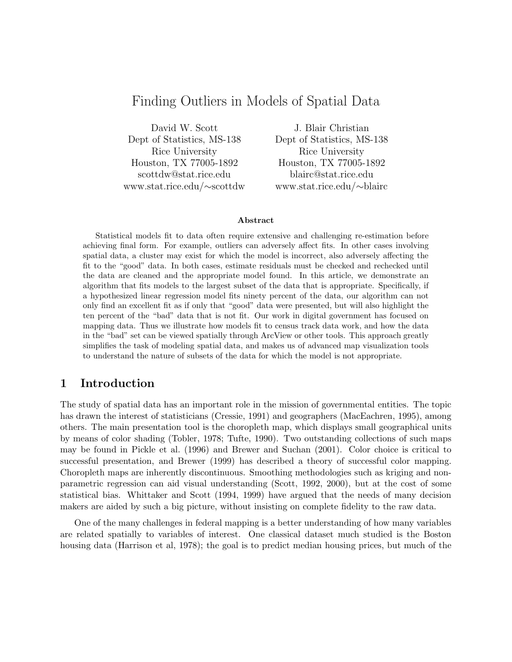# Finding Outliers in Models of Spatial Data

David W. Scott Dept of Statistics, MS-138 Rice University Houston, TX 77005-1892 scottdw@stat.rice.edu www.stat.rice.edu/∼scottdw

J. Blair Christian Dept of Statistics, MS-138 Rice University Houston, TX 77005-1892 blairc@stat.rice.edu www.stat.rice.edu/∼blairc

#### Abstract

Statistical models fit to data often require extensive and challenging re-estimation before achieving final form. For example, outliers can adversely affect fits. In other cases involving spatial data, a cluster may exist for which the model is incorrect, also adversely affecting the fit to the "good" data. In both cases, estimate residuals must be checked and rechecked until the data are cleaned and the appropriate model found. In this article, we demonstrate an algorithm that fits models to the largest subset of the data that is appropriate. Specifically, if a hypothesized linear regression model fits ninety percent of the data, our algorithm can not only find an excellent fit as if only that "good" data were presented, but will also highlight the ten percent of the "bad" data that is not fit. Our work in digital government has focused on mapping data. Thus we illustrate how models fit to census track data work, and how the data in the "bad" set can be viewed spatially through ArcView or other tools. This approach greatly simplifies the task of modeling spatial data, and makes us of advanced map visualization tools to understand the nature of subsets of the data for which the model is not appropriate.

## 1 Introduction

The study of spatial data has an important role in the mission of governmental entities. The topic has drawn the interest of statisticians (Cressie, 1991) and geographers (MacEachren, 1995), among others. The main presentation tool is the choropleth map, which displays small geographical units by means of color shading (Tobler, 1978; Tufte, 1990). Two outstanding collections of such maps may be found in Pickle et al. (1996) and Brewer and Suchan (2001). Color choice is critical to successful presentation, and Brewer (1999) has described a theory of successful color mapping. Choropleth maps are inherently discontinuous. Smoothing methodologies such as kriging and nonparametric regression can aid visual understanding (Scott, 1992, 2000), but at the cost of some statistical bias. Whittaker and Scott (1994, 1999) have argued that the needs of many decision makers are aided by such a big picture, without insisting on complete fidelity to the raw data.

One of the many challenges in federal mapping is a better understanding of how many variables are related spatially to variables of interest. One classical dataset much studied is the Boston housing data (Harrison et al, 1978); the goal is to predict median housing prices, but much of the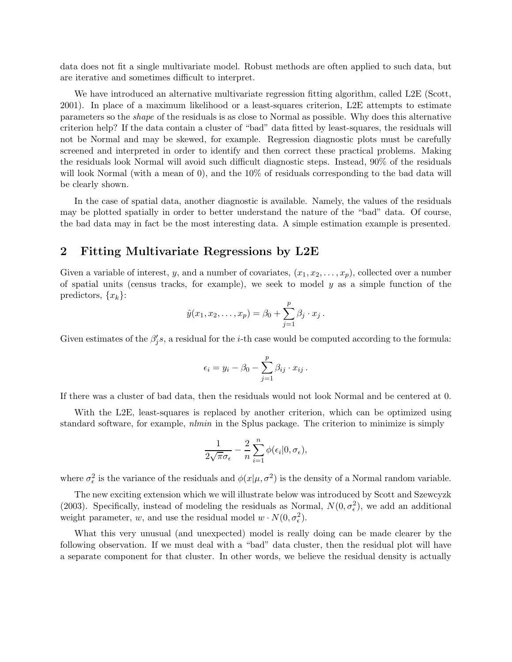data does not fit a single multivariate model. Robust methods are often applied to such data, but are iterative and sometimes difficult to interpret.

We have introduced an alternative multivariate regression fitting algorithm, called L2E (Scott, 2001). In place of a maximum likelihood or a least-squares criterion, L2E attempts to estimate parameters so the shape of the residuals is as close to Normal as possible. Why does this alternative criterion help? If the data contain a cluster of "bad" data fitted by least-squares, the residuals will not be Normal and may be skewed, for example. Regression diagnostic plots must be carefully screened and interpreted in order to identify and then correct these practical problems. Making the residuals look Normal will avoid such difficult diagnostic steps. Instead, 90% of the residuals will look Normal (with a mean of 0), and the 10% of residuals corresponding to the bad data will be clearly shown.

In the case of spatial data, another diagnostic is available. Namely, the values of the residuals may be plotted spatially in order to better understand the nature of the "bad" data. Of course, the bad data may in fact be the most interesting data. A simple estimation example is presented.

#### 2 Fitting Multivariate Regressions by L2E

Given a variable of interest, y, and a number of covariates,  $(x_1, x_2, \ldots, x_p)$ , collected over a number of spatial units (census tracks, for example), we seek to model  $y$  as a simple function of the predictors,  $\{x_k\}$ :

$$
\hat{y}(x_1, x_2, \dots, x_p) = \beta_0 + \sum_{j=1}^p \beta_j \cdot x_j.
$$

Given estimates of the  $\beta'_i$  $j<sub>j</sub>$ s, a residual for the *i*-th case would be computed according to the formula:

$$
\epsilon_i = y_i - \beta_0 - \sum_{j=1}^p \beta_{ij} \cdot x_{ij}.
$$

If there was a cluster of bad data, then the residuals would not look Normal and be centered at 0.

With the L2E, least-squares is replaced by another criterion, which can be optimized using standard software, for example, nlmin in the Splus package. The criterion to minimize is simply

$$
\frac{1}{2\sqrt{\pi}\sigma_{\epsilon}} - \frac{2}{n} \sum_{i=1}^{n} \phi(\epsilon_i | 0, \sigma_{\epsilon}),
$$

where  $\sigma_{\epsilon}^2$ <sup>2</sup>/<sub> $\epsilon$ </sub> is the variance of the residuals and  $\phi(x|\mu, \sigma^2)$  is the density of a Normal random variable.

The new exciting extension which we will illustrate below was introduced by Scott and Szewcyzk (2003). Specifically, instead of modeling the residuals as Normal,  $N(0, \sigma_{\epsilon}^2)$ , we add an additional weight parameter, w, and use the residual model  $w \cdot N(0, \sigma_{\epsilon}^2)$ .

What this very unusual (and unexpected) model is really doing can be made clearer by the following observation. If we must deal with a "bad" data cluster, then the residual plot will have a separate component for that cluster. In other words, we believe the residual density is actually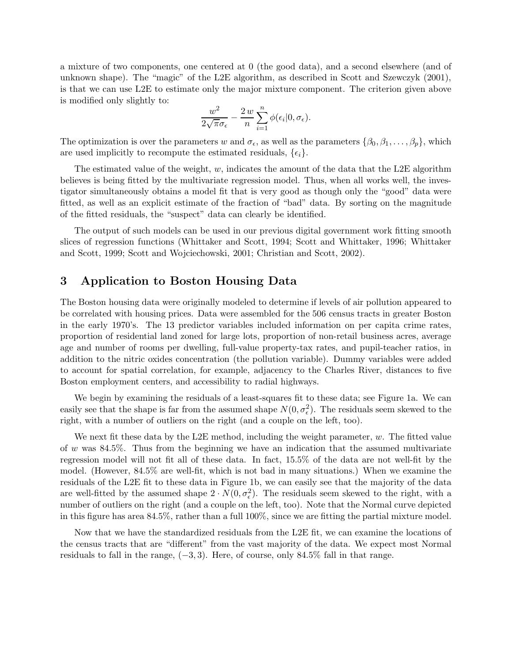a mixture of two components, one centered at 0 (the good data), and a second elsewhere (and of unknown shape). The "magic" of the L2E algorithm, as described in Scott and Szewczyk (2001), is that we can use L2E to estimate only the major mixture component. The criterion given above is modified only slightly to:

$$
\frac{w^2}{2\sqrt{\pi}\sigma_{\epsilon}} - \frac{2w}{n} \sum_{i=1}^{n} \phi(\epsilon_i | 0, \sigma_{\epsilon}).
$$

The optimization is over the parameters w and  $\sigma_{\epsilon}$ , as well as the parameters  $\{\beta_0, \beta_1, \ldots, \beta_p\}$ , which are used implicitly to recompute the estimated residuals,  $\{\epsilon_i\}$ .

The estimated value of the weight,  $w$ , indicates the amount of the data that the L2E algorithm believes is being fitted by the multivariate regression model. Thus, when all works well, the investigator simultaneously obtains a model fit that is very good as though only the "good" data were fitted, as well as an explicit estimate of the fraction of "bad" data. By sorting on the magnitude of the fitted residuals, the "suspect" data can clearly be identified.

The output of such models can be used in our previous digital government work fitting smooth slices of regression functions (Whittaker and Scott, 1994; Scott and Whittaker, 1996; Whittaker and Scott, 1999; Scott and Wojciechowski, 2001; Christian and Scott, 2002).

### 3 Application to Boston Housing Data

The Boston housing data were originally modeled to determine if levels of air pollution appeared to be correlated with housing prices. Data were assembled for the 506 census tracts in greater Boston in the early 1970's. The 13 predictor variables included information on per capita crime rates, proportion of residential land zoned for large lots, proportion of non-retail business acres, average age and number of rooms per dwelling, full-value property-tax rates, and pupil-teacher ratios, in addition to the nitric oxides concentration (the pollution variable). Dummy variables were added to account for spatial correlation, for example, adjacency to the Charles River, distances to five Boston employment centers, and accessibility to radial highways.

We begin by examining the residuals of a least-squares fit to these data; see Figure 1a. We can easily see that the shape is far from the assumed shape  $N(0, \sigma_{\epsilon}^2)$ . The residuals seem skewed to the right, with a number of outliers on the right (and a couple on the left, too).

We next fit these data by the L2E method, including the weight parameter,  $w$ . The fitted value of w was 84.5%. Thus from the beginning we have an indication that the assumed multivariate regression model will not fit all of these data. In fact, 15.5% of the data are not well-fit by the model. (However, 84.5% are well-fit, which is not bad in many situations.) When we examine the residuals of the L2E fit to these data in Figure 1b, we can easily see that the majority of the data are well-fitted by the assumed shape  $2 \cdot N(0, \sigma_{\epsilon}^2)$ . The residuals seem skewed to the right, with a number of outliers on the right (and a couple on the left, too). Note that the Normal curve depicted in this figure has area 84.5%, rather than a full 100%, since we are fitting the partial mixture model.

Now that we have the standardized residuals from the L2E fit, we can examine the locations of the census tracts that are "different" from the vast majority of the data. We expect most Normal residuals to fall in the range,  $(-3, 3)$ . Here, of course, only 84.5% fall in that range.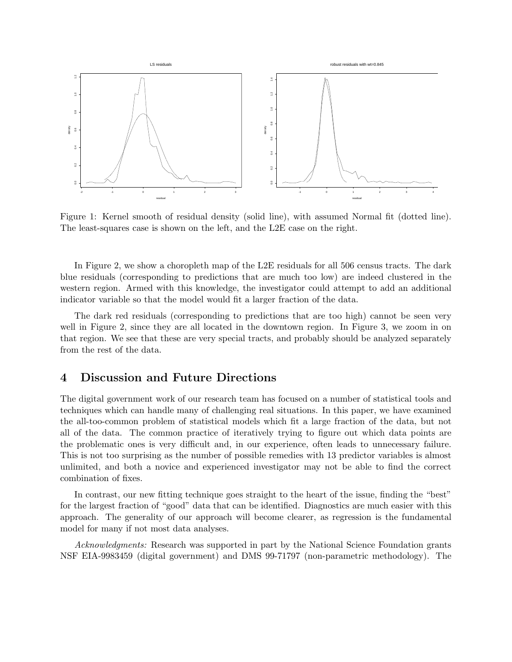

Figure 1: Kernel smooth of residual density (solid line), with assumed Normal fit (dotted line). The least-squares case is shown on the left, and the L2E case on the right.

In Figure 2, we show a choropleth map of the L2E residuals for all 506 census tracts. The dark blue residuals (corresponding to predictions that are much too low) are indeed clustered in the western region. Armed with this knowledge, the investigator could attempt to add an additional indicator variable so that the model would fit a larger fraction of the data.

The dark red residuals (corresponding to predictions that are too high) cannot be seen very well in Figure 2, since they are all located in the downtown region. In Figure 3, we zoom in on that region. We see that these are very special tracts, and probably should be analyzed separately from the rest of the data.

### 4 Discussion and Future Directions

The digital government work of our research team has focused on a number of statistical tools and techniques which can handle many of challenging real situations. In this paper, we have examined the all-too-common problem of statistical models which fit a large fraction of the data, but not all of the data. The common practice of iteratively trying to figure out which data points are the problematic ones is very difficult and, in our experience, often leads to unnecessary failure. This is not too surprising as the number of possible remedies with 13 predictor variables is almost unlimited, and both a novice and experienced investigator may not be able to find the correct combination of fixes.

In contrast, our new fitting technique goes straight to the heart of the issue, finding the "best" for the largest fraction of "good" data that can be identified. Diagnostics are much easier with this approach. The generality of our approach will become clearer, as regression is the fundamental model for many if not most data analyses.

Acknowledgments: Research was supported in part by the National Science Foundation grants NSF EIA-9983459 (digital government) and DMS 99-71797 (non-parametric methodology). The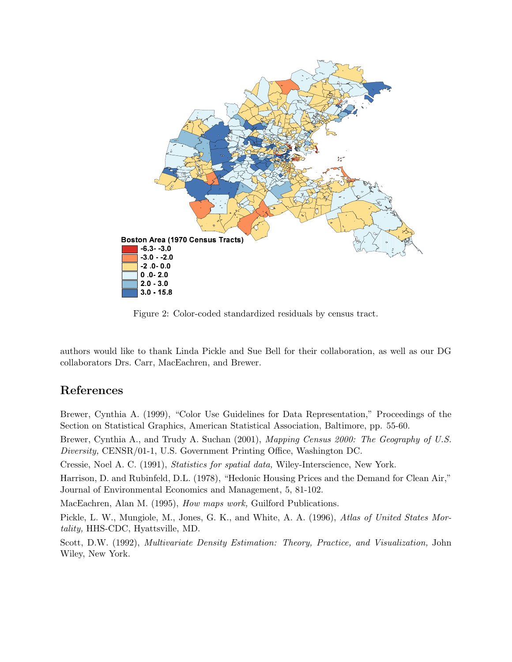

Figure 2: Color-coded standardized residuals by census tract.

authors would like to thank Linda Pickle and Sue Bell for their collaboration, as well as our DG collaborators Drs. Carr, MacEachren, and Brewer.

# References

Brewer, Cynthia A. (1999), "Color Use Guidelines for Data Representation," Proceedings of the Section on Statistical Graphics, American Statistical Association, Baltimore, pp. 55-60.

Brewer, Cynthia A., and Trudy A. Suchan (2001), Mapping Census 2000: The Geography of U.S. Diversity, CENSR/01-1, U.S. Government Printing Office, Washington DC.

Cressie, Noel A. C. (1991), Statistics for spatial data, Wiley-Interscience, New York.

Harrison, D. and Rubinfeld, D.L. (1978), "Hedonic Housing Prices and the Demand for Clean Air," Journal of Environmental Economics and Management, 5, 81-102.

MacEachren, Alan M. (1995), *How maps work*, Guilford Publications.

Pickle, L. W., Mungiole, M., Jones, G. K., and White, A. A. (1996), Atlas of United States Mortality, HHS-CDC, Hyattsville, MD.

Scott, D.W. (1992), Multivariate Density Estimation: Theory, Practice, and Visualization, John Wiley, New York.